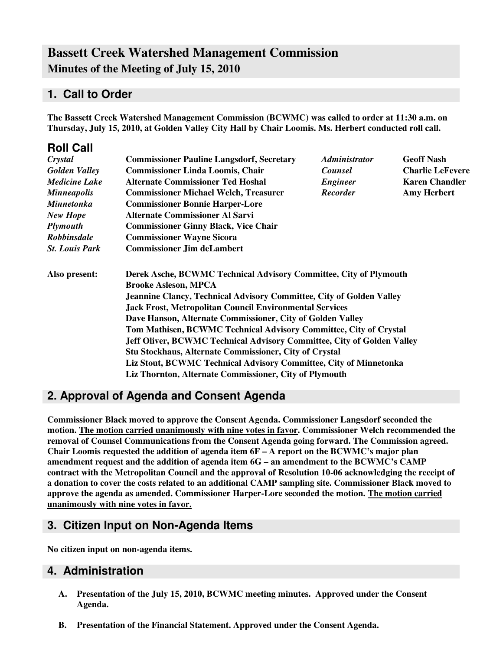# **Bassett Creek Watershed Management Commission Minutes of the Meeting of July 15, 2010**

### **1. Call to Order**

**The Bassett Creek Watershed Management Commission (BCWMC) was called to order at 11:30 a.m. on Thursday, July 15, 2010, at Golden Valley City Hall by Chair Loomis. Ms. Herbert conducted roll call.**

| <b>Roll Call</b>      |                                                                               |                             |                         |  |  |
|-----------------------|-------------------------------------------------------------------------------|-----------------------------|-------------------------|--|--|
| Crystal               | <b>Commissioner Pauline Langsdorf, Secretary</b>                              | <i><b>Administrator</b></i> | <b>Geoff Nash</b>       |  |  |
| <b>Golden Valley</b>  | <b>Commissioner Linda Loomis, Chair</b>                                       | <b>Counsel</b>              | <b>Charlie LeFevere</b> |  |  |
| <b>Medicine Lake</b>  | <b>Alternate Commissioner Ted Hoshal</b>                                      | <b>Engineer</b>             | <b>Karen Chandler</b>   |  |  |
| <b>Minneapolis</b>    | <b>Commissioner Michael Welch, Treasurer</b>                                  | <b>Recorder</b>             | <b>Amy Herbert</b>      |  |  |
| <b>Minnetonka</b>     | <b>Commissioner Bonnie Harper-Lore</b>                                        |                             |                         |  |  |
| <b>New Hope</b>       | <b>Alternate Commissioner Al Sarvi</b>                                        |                             |                         |  |  |
| <b>Plymouth</b>       | <b>Commissioner Ginny Black, Vice Chair</b>                                   |                             |                         |  |  |
| <b>Robbinsdale</b>    | <b>Commissioner Wayne Sicora</b>                                              |                             |                         |  |  |
| <b>St. Louis Park</b> | <b>Commissioner Jim deLambert</b>                                             |                             |                         |  |  |
| Also present:         | Derek Asche, BCWMC Technical Advisory Committee, City of Plymouth             |                             |                         |  |  |
|                       | <b>Brooke Asleson, MPCA</b>                                                   |                             |                         |  |  |
|                       | Jeannine Clancy, Technical Advisory Committee, City of Golden Valley          |                             |                         |  |  |
|                       | <b>Jack Frost, Metropolitan Council Environmental Services</b>                |                             |                         |  |  |
|                       | Dave Hanson, Alternate Commissioner, City of Golden Valley                    |                             |                         |  |  |
|                       | Tom Mathisen, BCWMC Technical Advisory Committee, City of Crystal             |                             |                         |  |  |
|                       | <b>Jeff Oliver, BCWMC Technical Advisory Committee, City of Golden Valley</b> |                             |                         |  |  |
|                       | <b>Stu Stockhaus, Alternate Commissioner, City of Crystal</b>                 |                             |                         |  |  |
|                       | Liz Stout, BCWMC Technical Advisory Committee, City of Minnetonka             |                             |                         |  |  |
|                       | Liz Thornton, Alternate Commissioner, City of Plymouth                        |                             |                         |  |  |

## **2. Approval of Agenda and Consent Agenda**

**Commissioner Black moved to approve the Consent Agenda. Commissioner Langsdorf seconded the motion. The motion carried unanimously with nine votes in favor. Commissioner Welch recommended the removal of Counsel Communications from the Consent Agenda going forward. The Commission agreed. Chair Loomis requested the addition of agenda item 6F – A report on the BCWMC's major plan amendment request and the addition of agenda item 6G – an amendment to the BCWMC's CAMP contract with the Metropolitan Council and the approval of Resolution 10-06 acknowledging the receipt of a donation to cover the costs related to an additional CAMP sampling site. Commissioner Black moved to approve the agenda as amended. Commissioner Harper-Lore seconded the motion. The motion carried unanimously with nine votes in favor.**

### **3. Citizen Input on Non-Agenda Items**

**No citizen input on non-agenda items.**

#### **4. Administration**

- **A. Presentation of the July 15, 2010, BCWMC meeting minutes. Approved under the Consent Agenda.**
- **B. Presentation of the Financial Statement. Approved under the Consent Agenda.**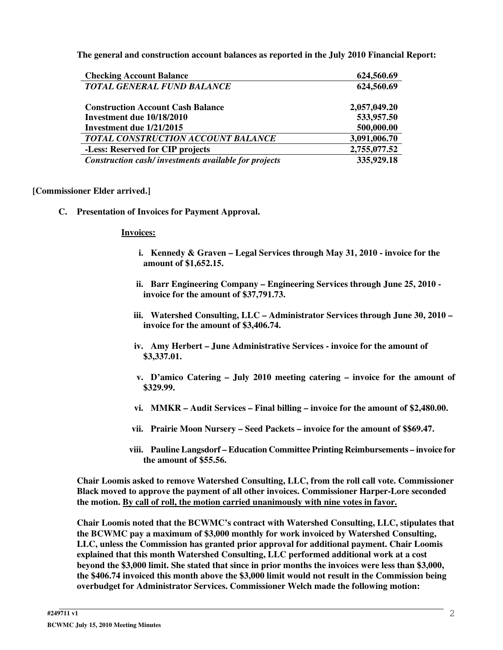**The general and construction account balances as reported in the July 2010 Financial Report:**

| <b>Checking Account Balance</b>                      | 624,560.69   |
|------------------------------------------------------|--------------|
| <b>TOTAL GENERAL FUND BALANCE</b>                    | 624,560.69   |
| <b>Construction Account Cash Balance</b>             | 2,057,049.20 |
| Investment due 10/18/2010                            | 533,957.50   |
| Investment due 1/21/2015                             | 500,000.00   |
| TOTAL CONSTRUCTION ACCOUNT BALANCE                   | 3,091,006.70 |
| -Less: Reserved for CIP projects                     | 2,755,077.52 |
| Construction cash/investments available for projects | 335,929.18   |

#### **[Commissioner Elder arrived.]**

**C. Presentation of Invoices for Payment Approval.**

#### **Invoices:**

- **i. Kennedy & Graven – Legal Services through May 31, 2010 - invoice for the amount of \$1,652.15.**
- **ii. Barr Engineering Company – Engineering Services through June 25, 2010 invoice for the amount of \$37,791.73.**
- **iii. Watershed Consulting, LLC – Administrator Services through June 30, 2010 – invoice for the amount of \$3,406.74.**
- **iv. Amy Herbert – June Administrative Services - invoice for the amount of \$3,337.01.**
- **v. D'amico Catering – July 2010 meeting catering – invoice for the amount of \$329.99.**
- **vi. MMKR – Audit Services – Final billing – invoice for the amount of \$2,480.00.**
- **vii. Prairie Moon Nursery – Seed Packets – invoice for the amount of \$\$69.47.**
- **viii. Pauline Langsdorf – Education Committee Printing Reimbursements – invoice for the amount of \$55.56.**

**Chair Loomis asked to remove Watershed Consulting, LLC, from the roll call vote. Commissioner Black moved to approve the payment of all other invoices. Commissioner Harper-Lore seconded the motion. By call of roll, the motion carried unanimously with nine votes in favor.**

**Chair Loomis noted that the BCWMC's contract with Watershed Consulting, LLC, stipulates that the BCWMC pay a maximum of \$3,000 monthly for work invoiced by Watershed Consulting, LLC, unless the Commission has granted prior approval for additional payment. Chair Loomis explained that this month Watershed Consulting, LLC performed additional work at a cost beyond the \$3,000 limit. She stated that since in prior months the invoices were less than \$3,000, the \$406.74 invoiced this month above the \$3,000 limit would not result in the Commission being overbudget for Administrator Services. Commissioner Welch made the following motion:**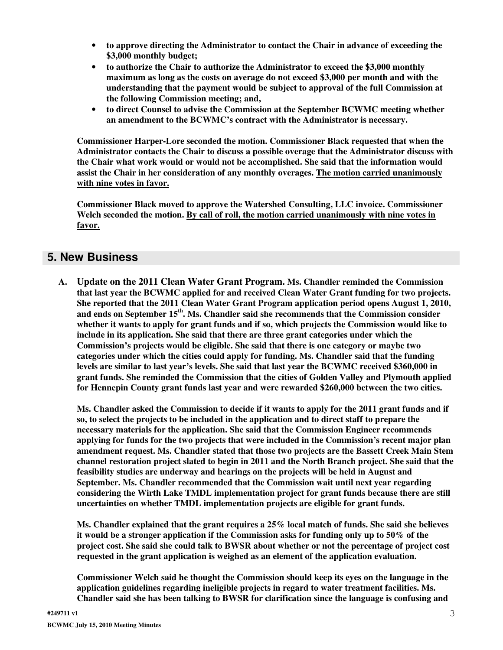- **to approve directing the Administrator to contact the Chair in advance of exceeding the \$3,000 monthly budget;**
- **to authorize the Chair to authorize the Administrator to exceed the \$3,000 monthly maximum as long as the costs on average do not exceed \$3,000 per month and with the understanding that the payment would be subject to approval of the full Commission at the following Commission meeting; and,**
- **to direct Counsel to advise the Commission at the September BCWMC meeting whether an amendment to the BCWMC's contract with the Administrator is necessary.**

**Commissioner Harper-Lore seconded the motion. Commissioner Black requested that when the Administrator contacts the Chair to discuss a possible overage that the Administrator discuss with the Chair what work would or would not be accomplished. She said that the information would assist the Chair in her consideration of any monthly overages. The motion carried unanimously with nine votes in favor.**

**Commissioner Black moved to approve the Watershed Consulting, LLC invoice. Commissioner Welch seconded the motion. By call of roll, the motion carried unanimously with nine votes in favor.**

### **5. New Business**

**A. Update on the 2011 Clean Water Grant Program. Ms. Chandler reminded the Commission that last year the BCWMC applied for and received Clean Water Grant funding for two projects. She reported that the 2011 Clean Water Grant Program application period opens August 1, 2010, and ends on September 15 th . Ms. Chandler said she recommends that the Commission consider whether it wants to apply for grant funds and if so, which projects the Commission would like to include in its application. She said that there are three grant categories under which the Commission's projects would be eligible. She said that there is one category or maybe two categories under which the cities could apply for funding. Ms. Chandler said that the funding levels are similar to last year's levels. She said that last year the BCWMC received \$360,000 in grant funds. She reminded the Commission that the cities of Golden Valley and Plymouth applied for Hennepin County grant funds last year and were rewarded \$260,000 between the two cities.**

Ms. Chandler asked the Commission to decide if it wants to apply for the 2011 grant funds and if **so, to select the projects to be included in the application and to direct staff to prepare the necessary materials for the application. She said that the Commission Engineer recommends applying for funds for the two projects that were included in the Commission's recent major plan amendment request. Ms. Chandler stated that those two projects are the Bassett Creek Main Stem channel restoration project slated to begin in 2011 and the North Branch project. She said that the feasibility studies are underway and hearings on the projects will be held in August and September. Ms. Chandler recommended that the Commission wait until next year regarding considering the Wirth Lake TMDL implementation project for grant funds because there are still uncertainties on whether TMDL implementation projects are eligible for grant funds.**

**Ms. Chandler explained that the grant requires a 25% local match of funds. She said she believes it would be a stronger application if the Commission asks for funding only up to 50% of the project cost. She said she could talk to BWSR about whether or not the percentage of project cost requested in the grant application is weighed as an element of the application evaluation.**

**Commissioner Welch said he thought the Commission should keep its eyes on the language in the application guidelines regarding ineligible projects in regard to water treatment facilities. Ms. Chandler said she has been talking to BWSR for clarification since the language is confusing and**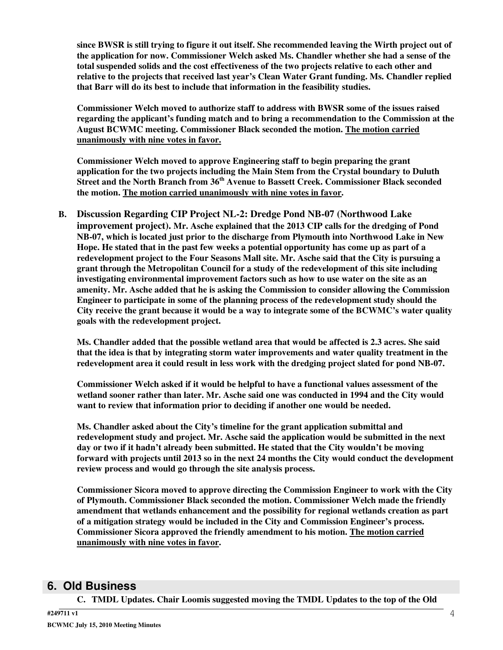since BWSR is still trying to figure it out itself. She recommended leaving the Wirth project out of **the application for now. Commissioner Welch asked Ms. Chandler whether she had a sense of the total suspended solids and the cost effectiveness of the two projects relative to each other and relative to the projects that received last year's Clean Water Grant funding. Ms. Chandler replied that Barr will do its best to include that information in the feasibility studies.**

**Commissioner Welch moved to authorize staff to address with BWSR some of the issues raised regarding the applicant's funding match and to bring a recommendation to the Commission at the August BCWMC meeting. Commissioner Black seconded the motion. The motion carried unanimously with nine votes in favor.**

**Commissioner Welch moved to approve Engineering staff to begin preparing the grant application for the two projects including the Main Stem from the Crystal boundary to Duluth Street and the North Branch from 36 th Avenue to Bassett Creek. Commissioner Black seconded the motion. The motion carried unanimously with nine votes in favor.**

**B. Discussion Regarding CIP Project NL-2: Dredge Pond NB-07 (Northwood Lake improvement project). Mr. Asche explained that the 2013 CIP calls for the dredging of Pond NB-07, which is located just prior to the discharge from Plymouth into Northwood Lake in New Hope. He stated that in the past few weeks a potential opportunity has come up as part of a redevelopment project to the Four Seasons Mall site. Mr. Asche said that the City is pursuing a grant through the Metropolitan Council for a study of the redevelopment of this site including investigating environmental improvement factors such as how to use water on the site as an amenity. Mr. Asche added that he is asking the Commission to consider allowing the Commission Engineer to participate in some of the planning process of the redevelopment study should the City receive the grant because it would be a way to integrate some of the BCWMC's water quality goals with the redevelopment project.**

**Ms. Chandler added that the possible wetland area that would be affected is 2.3 acres. She said that the idea is that by integrating storm water improvements and water quality treatment in the redevelopment area it could result in less work with the dredging project slated for pond NB-07.**

**Commissioner Welch asked if it would be helpful to have a functional values assessment of the wetland sooner rather than later. Mr. Asche said one was conducted in 1994 and the City would want to review that information prior to deciding if another one would be needed.**

**Ms. Chandler asked about the City's timeline for the grant application submittal and redevelopment study and project. Mr. Asche said the application would be submitted in the next day or two if it hadn't already been submitted. He stated that the City wouldn't be moving forward with projects until 2013 so in the next 24 months the City would conduct the development review process and would go through the site analysis process.**

**Commissioner Sicora moved to approve directing the Commission Engineer to work with the City of Plymouth. Commissioner Black seconded the motion. Commissioner Welch made the friendly amendment that wetlands enhancement and the possibility for regional wetlands creation as part of a mitigation strategy would be included in the City and Commission Engineer's process. Commissioner Sicora approved the friendly amendment to his motion. The motion carried unanimously with nine votes in favor.**

### **6. Old Business**

**C. TMDL Updates. Chair Loomis suggested moving the TMDL Updates to the top of the Old**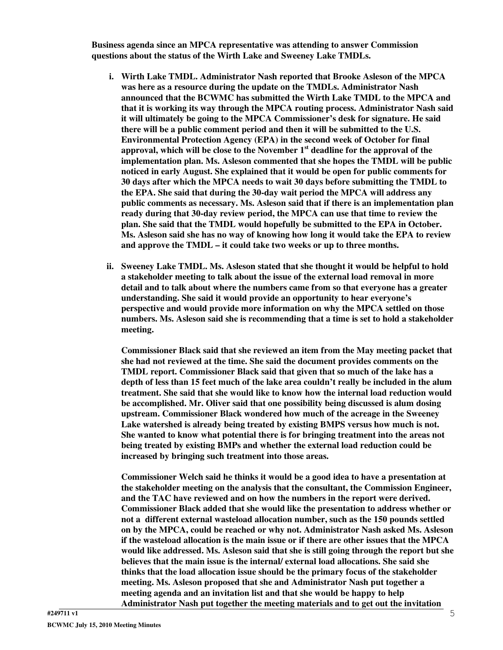**Business agenda since an MPCA representative was attending to answer Commission questions about the status of the Wirth Lake and Sweeney Lake TMDLs.**

- **i. Wirth Lake TMDL. Administrator Nash reported that Brooke Asleson of the MPCA was here as a resource during the update on the TMDLs. Administrator Nash announced that the BCWMC has submitted the Wirth Lake TMDL to the MPCA and that it is working its way through the MPCA routing process. Administrator Nash said it will ultimately be going to the MPCA Commissioner's desk for signature. He said there will be a public comment period and then it will be submitted to the U.S. Environmental Protection Agency (EPA) in the second week of October for final approval, which will be close to the November 1 st deadline for the approval of the implementation plan. Ms. Asleson commented that she hopes the TMDL will be public noticed in early August. She explained that it would be open for public comments for 30 days after which the MPCA needs to wait 30 days before submitting the TMDL to the EPA. She said that during the 30-day wait period the MPCA will address any public comments as necessary. Ms. Asleson said that if there is an implementation plan ready during that 30-day review period, the MPCA can use that time to review the plan. She said that the TMDL would hopefully be submitted to the EPA in October. Ms. Asleson said she has no way of knowing how long it would take the EPA to review and approve the TMDL – it could take two weeks or up to three months.**
- **ii. Sweeney Lake TMDL. Ms. Asleson stated that she thought it would be helpful to hold a stakeholder meeting to talk about the issue of the external load removal in more detail and to talk about where the numbers came from so that everyone has a greater understanding. She said it would provide an opportunity to hear everyone's perspective and would provide more information on why the MPCA settled on those numbers. Ms. Asleson said she is recommending that a time is set to hold a stakeholder meeting.**

**Commissioner Black said that she reviewed an item from the May meeting packet that she had not reviewed at the time. She said the document provides comments on the TMDL report. Commissioner Black said that given that so much of the lake has a depth of less than 15 feet much of the lake area couldn't really be included in the alum treatment. She said that she would like to know how the internal load reduction would be accomplished. Mr. Oliver said that one possibility being discussed is alum dosing upstream. Commissioner Black wondered how much of the acreage in the Sweeney Lake watershed is already being treated by existing BMPS versus how much is not. She wanted to know what potential there is for bringing treatment into the areas not being treated by existing BMPs and whether the external load reduction could be increased by bringing such treatment into those areas.**

**Commissioner Welch said he thinks it would be a good idea to have a presentation at the stakeholder meeting on the analysis that the consultant, the Commission Engineer, and the TAC have reviewed and on how the numbers in the report were derived. Commissioner Black added that she would like the presentation to address whether or not a different external wasteload allocation number, such as the 150 pounds settled on by the MPCA, could be reached or why not. Administrator Nash asked Ms. Asleson if the wasteload allocation is the main issue or if there are other issues that the MPCA would like addressed. Ms. Asleson said that she is still going through the report but she believes that the main issue is the internal/ external load allocations. She said she thinks that the load allocation issue should be the primary focus of the stakeholder meeting. Ms. Asleson proposed that she and Administrator Nash put together a meeting agenda and an invitation list and that she would be happy to help Administrator Nash put together the meeting materials and to get out the invitation**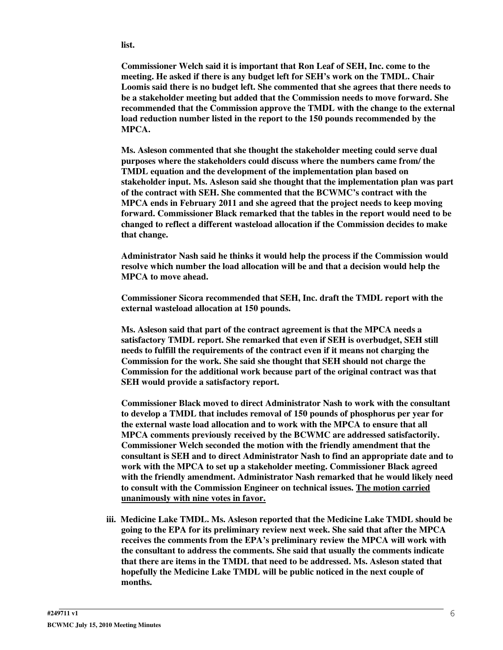**list.**

**Commissioner Welch said it is important that Ron Leaf of SEH, Inc. come to the meeting. He asked if there is any budget left for SEH's work on the TMDL. Chair Loomis said there is no budget left. She commented that she agrees that there needs to be a stakeholder meeting but added that the Commission needs to move forward. She recommended that the Commission approve the TMDL with the change to the external load reduction number listed in the report to the 150 pounds recommended by the MPCA.**

**Ms. Asleson commented that she thought the stakeholder meeting could serve dual purposes where the stakeholders could discuss where the numbers came from/ the TMDL equation and the development of the implementation plan based on stakeholder input. Ms. Asleson said she thought that the implementation plan was part of the contract with SEH. She commented that the BCWMC's contract with the MPCA ends in February 2011 and she agreed that the project needs to keep moving forward. Commissioner Black remarked that the tables in the report would need to be changed to reflect a different wasteload allocation if the Commission decides to make that change.**

**Administrator Nash said he thinks it would help the process if the Commission would resolve which number the load allocation will be and that a decision would help the MPCA to move ahead.**

**Commissioner Sicora recommended that SEH, Inc. draft the TMDL report with the external wasteload allocation at 150 pounds.**

**Ms. Asleson said that part of the contract agreement is that the MPCA needs a satisfactory TMDL report. She remarked that even if SEH is overbudget, SEH still needs to fulfill the requirements of the contract even if it means not charging the Commission for the work. She said she thought that SEH should not charge the Commission for the additional work because part of the original contract was that SEH would provide a satisfactory report.**

**Commissioner Black moved to direct Administrator Nash to work with the consultant to develop a TMDL that includes removal of 150 pounds of phosphorus per year for the external waste load allocation and to work with the MPCA to ensure that all MPCA comments previously received by the BCWMC are addressed satisfactorily. Commissioner Welch seconded the motion with the friendly amendment that the consultant is SEH and to direct Administrator Nash to find an appropriate date and to work with the MPCA to set up a stakeholder meeting. Commissioner Black agreed with the friendly amendment. Administrator Nash remarked that he would likely need to consult with the Commission Engineer on technical issues. The motion carried unanimously with nine votes in favor.**

**iii. Medicine Lake TMDL. Ms. Asleson reported that the Medicine Lake TMDL should be going to the EPA for its preliminary review next week. She said that after the MPCA receives the comments from the EPA's preliminary review the MPCA will work with the consultant to address the comments. She said that usually the comments indicate that there are items in the TMDL that need to be addressed. Ms. Asleson stated that hopefully the Medicine Lake TMDL will be public noticed in the next couple of months.**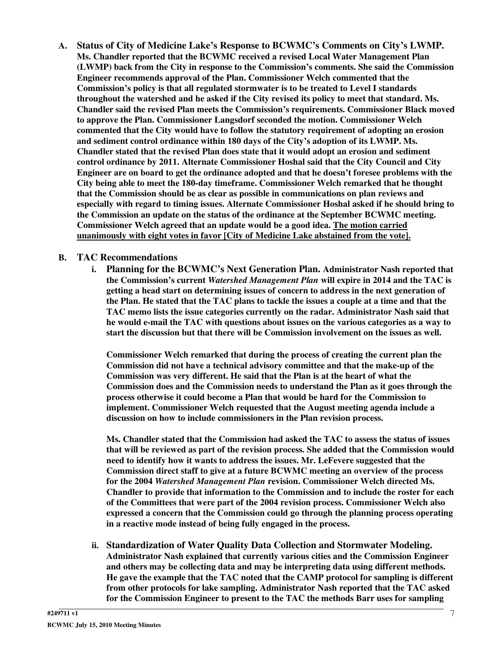**A. Status of City of Medicine Lake's Response to BCWMC's Comments on City's LWMP. Ms. Chandler reported that the BCWMC received a revised Local Water Management Plan (LWMP) back from the City in response to the Commission's comments. She said the Commission Engineer recommends approval of the Plan. Commissioner Welch commented that the Commission's policy is that all regulated stormwater is to be treated to Level I standards throughout the watershed and he asked if the City revised its policy to meet that standard. Ms. Chandler said the revised Plan meets the Commission's requirements. Commissioner Black moved to approve the Plan. Commissioner Langsdorf seconded the motion. Commissioner Welch commented that the City would have to follow the statutory requirement of adopting an erosion and sediment control ordinance within 180 days of the City's adoption of its LWMP. Ms. Chandler stated that the revised Plan does state that it would adopt an erosion and sediment control ordinance by 2011. Alternate Commissioner Hoshal said that the City Council and City Engineer are on board to get the ordinance adopted and that he doesn't foresee problems with the City being able to meet the 180-day timeframe. Commissioner Welch remarked that he thought that the Commission should be as clear as possible in communications on plan reviews and especially with regard to timing issues. Alternate Commissioner Hoshal asked if he should bring to the Commission an update on the status of the ordinance at the September BCWMC meeting. Commissioner Welch agreed that an update would be a good idea. The motion carried unanimously with eight votes in favor [City of Medicine Lake abstained from the vote].**

#### **B. TAC Recommendations**

**i. Planning for the BCWMC's Next Generation Plan. Administrator Nash reported that the Commission's current** *Watershed Management Plan* **will expire in 2014 and the TAC is getting a head start on determining issues of concern to address in the next generation of** the Plan. He stated that the TAC plans to tackle the issues a couple at a time and that the **TAC memo lists the issue categories currently on the radar. Administrator Nash said that he would e-mail the TAC with questions about issues on the various categories as a way to start the discussion but that there will be Commission involvement on the issues as well.**

**Commissioner Welch remarked that during the process of creating the current plan the Commission did not have a technical advisory committee and that the make-up of the Commission was very different. He said that the Plan is at the heart of what the Commission does and the Commission needs to understand the Plan as it goes through the process otherwise it could become a Plan that would be hard for the Commission to implement. Commissioner Welch requested that the August meeting agenda include a discussion on how to include commissioners in the Plan revision process.**

**Ms. Chandler stated that the Commission had asked the TAC to assess the status of issues that will be reviewed as part of the revision process. She added that the Commission would need to identify how it wants to address the issues. Mr. LeFevere suggested that the Commission direct staff to give at a future BCWMC meeting an overview of the process for the 2004** *Watershed Management Plan* **revision. Commissioner Welch directed Ms. Chandler to provide that information to the Commission and to include the roster for each of the Committees that were part of the 2004 revision process. Commissioner Welch also expressed a concern that the Commission could go through the planning process operating in a reactive mode instead of being fully engaged in the process.**

**ii. Standardization of Water Quality Data Collection and Stormwater Modeling. Administrator Nash explained that currently various cities and the Commission Engineer and others may be collecting data and may be interpreting data using different methods. He gave the example that the TAC noted that the CAMP protocol for sampling is different from other protocols for lake sampling. Administrator Nash reported that the TAC asked for the Commission Engineer to present to the TAC the methods Barr uses for sampling**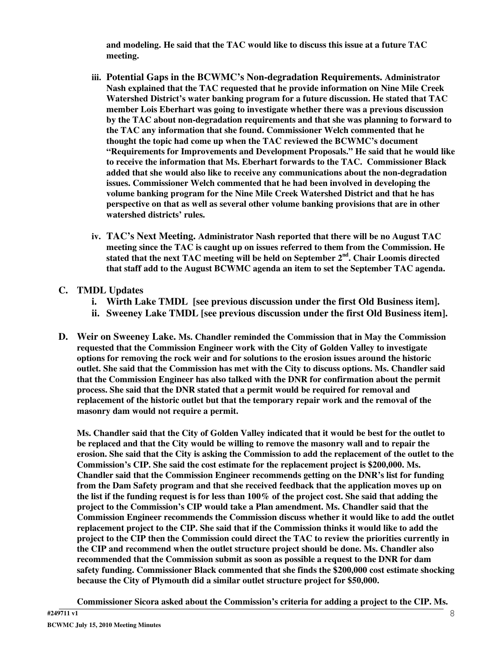**and modeling. He said that the TAC would like to discuss this issue at a future TAC meeting.**

- **iii. Potential Gaps in the BCWMC's Non-degradation Requirements. Administrator Nash explained that the TAC requested that he provide information on Nine Mile Creek Watershed District's water banking program for a future discussion. He stated that TAC member Lois Eberhart was going to investigate whether there was a previous discussion by the TAC about non-degradation requirements and that she was planning to forward to the TAC any information that she found. Commissioner Welch commented that he thought the topic had come up when the TAC reviewed the BCWMC's document "Requirements for Improvements and Development Proposals." He said that he would like to receive the information that Ms. Eberhart forwards to the TAC. Commissioner Black added that she would also like to receive any communications about the non-degradation issues. Commissioner Welch commented that he had been involved in developing the volume banking program for the Nine Mile Creek Watershed District and that he has perspective on that as well as several other volume banking provisions that are in other watershed districts' rules.**
- **iv. TAC's Next Meeting. Administrator Nash reported that there will be no August TAC meeting since the TAC is caught up on issues referred to them from the Commission. He stated that the next TAC meeting will be held on September 2 nd . Chair Loomis directed that staff add to the August BCWMC agenda an item to set the September TAC agenda.**

#### **C. TMDL Updates**

- **i. Wirth Lake TMDL [see previous discussion under the first Old Business item].**
- **ii. Sweeney Lake TMDL [see previous discussion under the first Old Business item].**
- **D. Weir on Sweeney Lake. Ms. Chandler reminded the Commission that in May the Commission requested that the Commission Engineer work with the City of Golden Valley to investigate options for removing the rock weir and for solutions to the erosion issues around the historic outlet. She said that the Commission has met with the City to discuss options. Ms. Chandler said that the Commission Engineer has also talked with the DNR for confirmation about the permit process. She said that the DNR stated that a permit would be required for removal and replacement of the historic outlet but that the temporary repair work and the removal of the masonry dam would not require a permit.**

Ms. Chandler said that the City of Golden Valley indicated that it would be best for the outlet to **be replaced and that the City would be willing to remove the masonry wall and to repair the** erosion. She said that the City is asking the Commission to add the replacement of the outlet to the **Commission's CIP. She said the cost estimate for the replacement project is \$200,000. Ms. Chandler said that the Commission Engineer recommends getting on the DNR's list for funding from the Dam Safety program and that she received feedback that the application moves up on** the list if the funding request is for less than  $100\%$  of the project cost. She said that adding the **project to the Commission's CIP would take a Plan amendment. Ms. Chandler said that the Commission Engineer recommends the Commission discuss whether it would like to add the outlet replacement project to the CIP. She said that if the Commission thinks it would like to add the project to the CIP then the Commission could direct the TAC to review the priorities currently in the CIP and recommend when the outlet structure project should be done. Ms. Chandler also recommended that the Commission submit as soon as possible a request to the DNR for dam safety funding. Commissioner Black commented that she finds the \$200,000 cost estimate shocking because the City of Plymouth did a similar outlet structure project for \$50,000.**

**Commissioner Sicora asked about the Commission's criteria for adding a project to the CIP. Ms.**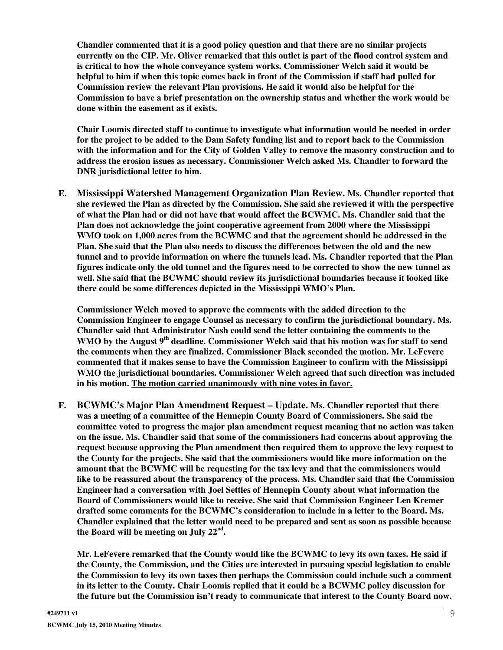**Chandler commented that it is a good policy question and that there are no similar projects currently on the CIP. Mr. Oliver remarked that this outlet is part of the flood control system and is critical to how the whole conveyance system works. Commissioner Welch said it would be** helpful to him if when this topic comes back in front of the Commission if staff had pulled for **Commission review the relevant Plan provisions. He said it would also be helpful for the Commission to have a brief presentation on the ownership status and whether the work would be done within the easement as it exists.**

**Chair Loomis directed staff to continue to investigate what information would be needed in order** for the project to be added to the Dam Safety funding list and to report back to the Commission **with the information and for the City of Golden Valley to remove the masonry construction and to address the erosion issues as necessary. Commissioner Welch asked Ms. Chandler to forward the DNR jurisdictional letter to him.**

**E. Mississippi Watershed Management Organization Plan Review. Ms. Chandler reported that she reviewed the Plan as directed by the Commission. She said she reviewed it with the perspective** of what the Plan had or did not have that would affect the BCWMC. Ms. Chandler said that the **Plan does not acknowledge the joint cooperative agreement from 2000 where the Mississippi WMO took on 1,000 acres from the BCWMC and that the agreement should be addressed in the Plan. She said that the Plan also needs to discuss the differences between the old and the new tunnel and to provide information on where the tunnels lead. Ms. Chandler reported that the Plan** figures indicate only the old tunnel and the figures need to be corrected to show the new tunnel as **well. She said that the BCWMC should review its jurisdictional boundaries because it looked like there could be some differences depicted in the Mississippi WMO's Plan.**

**Commissioner Welch moved to approve the comments with the added direction to the Commission Engineer to engage Counsel as necessary to confirm the jurisdictional boundary. Ms. Chandler said that Administrator Nash could send the letter containing the comments to the WMO by the August 9 th deadline. Commissioner Welch said that his motion was for staff to send the comments when they are finalized. Commissioner Black seconded the motion. Mr. LeFevere commented that it makes sense to have the Commission Engineer to confirm with the Mississippi WMO the jurisdictional boundaries. Commissioner Welch agreed that such direction was included in his motion. The motion carried unanimously with nine votes in favor.**

**F. BCWMC's Major Plan Amendment Request – Update. Ms. Chandler reported that there was a meeting of a committee of the Hennepin County Board of Commissioners. She said the committee voted to progress the major plan amendment request meaning that no action was taken on the issue. Ms. Chandler said that some of the commissioners had concerns about approving the request because approving the Plan amendment then required them to approve the levy request to the County for the projects. She said that the commissioners would like more information on the amount that the BCWMC will be requesting for the tax levy and that the commissioners would like to be reassured about the transparency of the process. Ms. Chandler said that the Commission Engineer had a conversation with Joel Settles of Hennepin County about what information the Board of Commissioners would like to receive. She said that Commission Engineer Len Kremer drafted some comments for the BCWMC's consideration to include in a letter to the Board. Ms. Chandler explained that the letter would need to be prepared and sent as soon as possible because the Board will be meeting on July 22 nd .**

**Mr. LeFevere remarked that the County would like the BCWMC to levy its own taxes. He said if the County, the Commission, and the Cities are interested in pursuing special legislation to enable the Commission to levy its own taxes then perhaps the Commission could include such a comment in its letter to the County. Chair Loomis replied that it could be a BCWMC policy discussion for the future but the Commission isn't ready to communicate that interest to the County Board now.**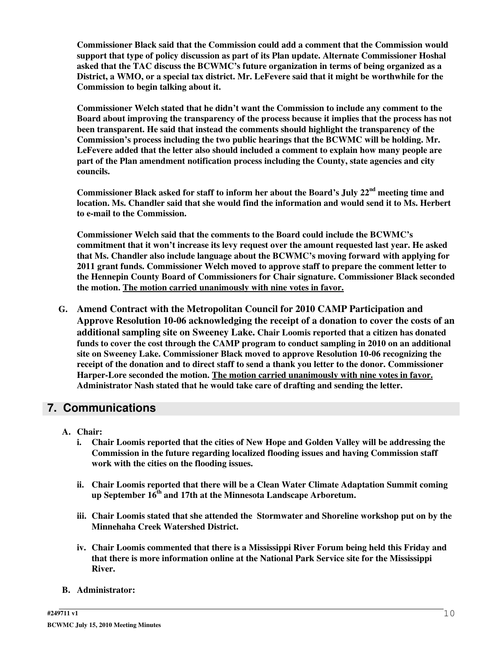**Commissioner Black said that the Commission could add a comment that the Commission would support that type of policy discussion as part of its Plan update. Alternate Commissioner Hoshal asked that the TAC discuss the BCWMC's future organization in terms of being organized as a District, a WMO, or a special tax district. Mr. LeFevere said that it might be worthwhile for the Commission to begin talking about it.**

**Commissioner Welch stated that he didn't want the Commission to include any comment to the Board about improving the transparency of the process because it implies that the process has not been transparent. He said that instead the comments should highlight the transparency of the Commission's process including the two public hearings that the BCWMC will be holding. Mr. LeFevere added that the letter also should included a comment to explain how many people are part of the Plan amendment notification process including the County, state agencies and city councils.**

**Commissioner Black asked for staff to inform her about the Board's July 22 nd meeting time and location. Ms. Chandler said that she would find the information and would send it to Ms. Herbert to e-mail to the Commission.**

**Commissioner Welch said that the comments to the Board could include the BCWMC's commitment that it won't increase its levy request over the amount requested last year. He asked that Ms. Chandler also include language about the BCWMC's moving forward with applying for 2011 grant funds. Commissioner Welch moved to approve staff to prepare the comment letter to the Hennepin County Board of Commissioners for Chair signature. Commissioner Black seconded the motion. The motion carried unanimously with nine votes in favor.**

**G. Amend Contract with the Metropolitan Council for 2010 CAMP Participation and Approve Resolution 10-06 acknowledging the receipt of a donation to cover the costs of an additional sampling site on Sweeney Lake. Chair Loomis reported that a citizen has donated funds to cover the cost through the CAMP program to conduct sampling in 2010 on an additional site on Sweeney Lake. Commissioner Black moved to approve Resolution 10-06 recognizing the receipt of the donation and to direct staff to send a thank you letter to the donor. Commissioner Harper-Lore seconded the motion. The motion carried unanimously with nine votes in favor. Administrator Nash stated that he would take care of drafting and sending the letter.**

#### **7. Communications**

- **A. Chair:**
	- **i. Chair Loomis reported that the cities of New Hope and Golden Valley will be addressing the Commission in the future regarding localized flooding issues and having Commission staff work with the cities on the flooding issues.**
	- **ii. Chair Loomis reported that there will be a Clean Water Climate Adaptation Summit coming up September 16 th and 17th at the Minnesota Landscape Arboretum.**
	- **iii. Chair Loomis stated that she attended the Stormwater and Shoreline workshop put on by the Minnehaha Creek Watershed District.**
	- **iv. Chair Loomis commented that there is a Mississippi River Forum being held this Friday and that there is more information online at the National Park Service site for the Mississippi River.**
- **B. Administrator:**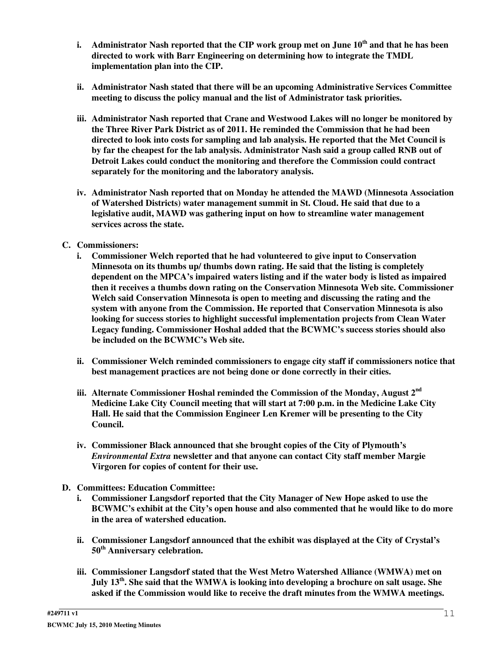- i. Administrator Nash reported that the CIP work group met on June 10<sup>th</sup> and that he has been **directed to work with Barr Engineering on determining how to integrate the TMDL implementation plan into the CIP.**
- **ii. Administrator Nash stated that there will be an upcoming Administrative Services Committee meeting to discuss the policy manual and the list of Administrator task priorities.**
- **iii. Administrator Nash reported that Crane and Westwood Lakes will no longer be monitored by the Three River Park District as of 2011. He reminded the Commission that he had been directed to look into costs for sampling and lab analysis. He reported that the Met Council is by far the cheapest for the lab analysis. Administrator Nash said a group called RNB out of Detroit Lakes could conduct the monitoring and therefore the Commission could contract separately for the monitoring and the laboratory analysis.**
- **iv. Administrator Nash reported that on Monday he attended the MAWD (Minnesota Association of Watershed Districts) water management summit in St. Cloud. He said that due to a legislative audit, MAWD was gathering input on how to streamline water management services across the state.**

#### **C. Commissioners:**

- **i. Commissioner Welch reported that he had volunteered to give input to Conservation Minnesota on its thumbs up/ thumbs down rating. He said that the listing is completely dependent on the MPCA's impaired waters listing and if the water body is listed as impaired then it receives a thumbs down rating on the Conservation Minnesota Web site. Commissioner Welch said Conservation Minnesota is open to meeting and discussing the rating and the system with anyone from the Commission. He reported that Conservation Minnesota is also looking for success stories to highlight successful implementation projects from Clean Water Legacy funding. Commissioner Hoshal added that the BCWMC's success stories should also be included on the BCWMC's Web site.**
- **ii. Commissioner Welch reminded commissioners to engage city staff if commissioners notice that best management practices are not being done or done correctly in their cities.**
- **iii. Alternate Commissioner Hoshal reminded the Commission of the Monday, August 2 nd Medicine Lake City Council meeting that will start at 7:00 p.m. in the Medicine Lake City Hall. He said that the Commission Engineer Len Kremer will be presenting to the City Council.**
- **iv. Commissioner Black announced that she brought copies of the City of Plymouth's** *Environmental Extra* **newsletter and that anyone can contact City staff member Margie Virgoren for copies of content for their use.**
- **D. Committees: Education Committee:**
	- **i. Commissioner Langsdorf reported that the City Manager of New Hope asked to use the BCWMC's exhibit at the City's open house and also commented that he would like to do more in the area of watershed education.**
	- **ii. Commissioner Langsdorf announced that the exhibit was displayed at the City of Crystal's 50 th Anniversary celebration.**
	- **iii. Commissioner Langsdorf stated that the West Metro Watershed Alliance (WMWA) met on** July 13<sup>th</sup>. She said that the WMWA is looking into developing a brochure on salt usage. She **asked if the Commission would like to receive the draft minutes from the WMWA meetings.**